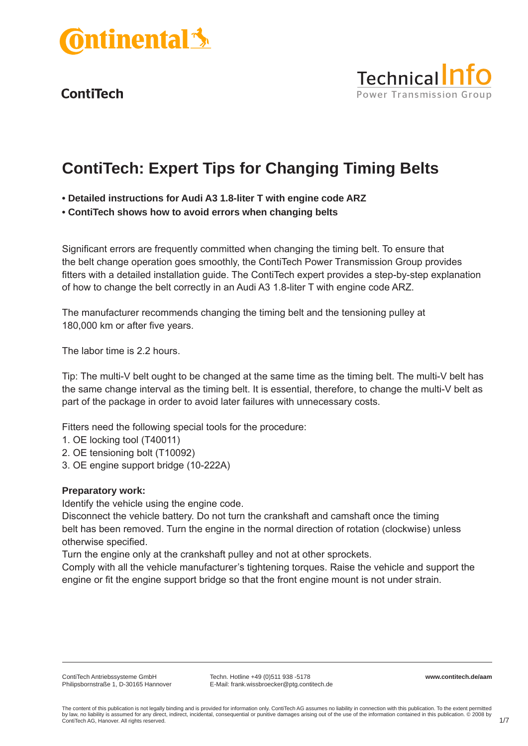



# **ContiTech: Expert Tips for Changing Timing Belts**

- **Detailed instructions for Audi A3 1.8-liter T with engine code ARZ**
- **ContiTech shows how to avoid errors when changing belts**

Significant errors are frequently committed when changing the timing belt. To ensure that the belt change operation goes smoothly, the ContiTech Power Transmission Group provides fitters with a detailed installation guide. The ContiTech expert provides a step-by-step explanation of how to change the belt correctly in an Audi A3 1.8-liter T with engine code ARZ.

The manufacturer recommends changing the timing belt and the tensioning pulley at 180,000 km or after five years.

The labor time is 2.2 hours.

Tip: The multi-V belt ought to be changed at the same time as the timing belt. The multi-V belt has the same change interval as the timing belt. It is essential, therefore, to change the multi-V belt as part of the package in order to avoid later failures with unnecessary costs.

Fitters need the following special tools for the procedure:

- 1. OE locking tool (T40011)
- 2. OE tensioning bolt (T10092)
- 3. OE engine support bridge (10-222A)

#### **Preparatory work:**

Identify the vehicle using the engine code.

Disconnect the vehicle battery. Do not turn the crankshaft and camshaft once the timing belt has been removed. Turn the engine in the normal direction of rotation (clockwise) unless otherwise specified.

Turn the engine only at the crankshaft pulley and not at other sprockets.

Comply with all the vehicle manufacturer's tightening torques. Raise the vehicle and support the engine or fit the engine support bridge so that the front engine mount is not under strain.

**www.contitech.de/aam**

The content of this publication is not legally binding and is provided for information only. ContiTech AG assumes no liability in connection with this publication. To the extent permitted by law, no liability is assumed for any direct, indirect, incidental, consequential or punitive damages arising out of the use of the information contained in this publication. © 2008 by ContiTech AG, Hanover. All rights reserved.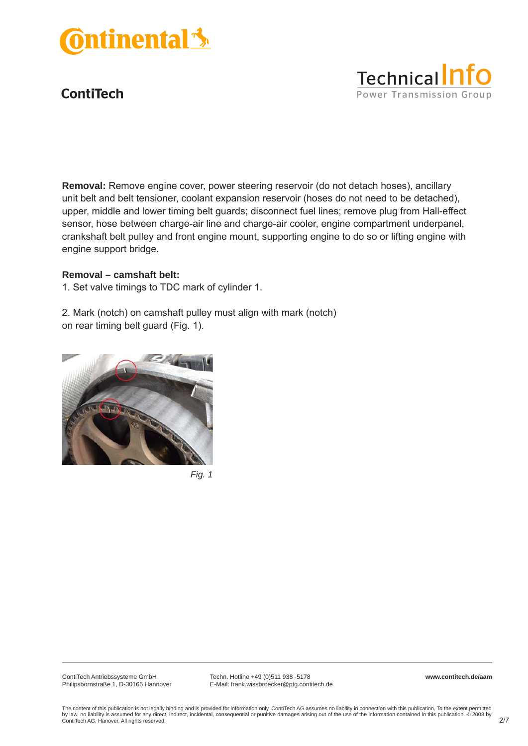



#### **Removal – camshaft belt:**

1. Set valve timings to TDC mark of cylinder 1.

2. Mark (notch) on camshaft pulley must align with mark (notch) on rear timing belt guard (Fig. 1).





ContiTech Antriebssysteme GmbH Philipsbornstraße 1, D-30165 Hannover

Techn. Hotline +49 (0)511 938 -5178 E-Mail: frank.wissbroecker@ptg.contitech.de **www.contitech.de/aam**

Technical<sup>n</sup>

**Power Transmission Group**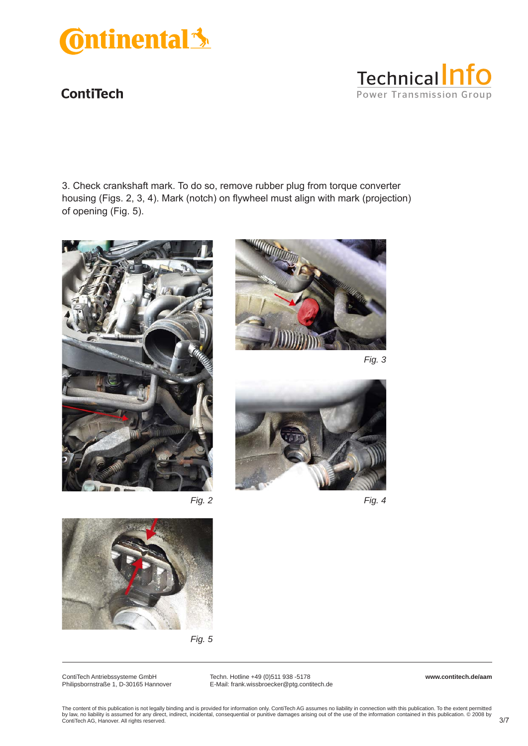

3. Check crankshaft mark. To do so, remove rubber plug from torque converter housing (Figs. 2, 3, 4). Mark (notch) on flywheel must align with mark (projection) of opening (Fig. 5).





**Technical nfo** 

**Power Transmission Group** 



*Fig. 4*





ContiTech Antriebssysteme GmbH Philipsbornstraße 1, D-30165 Hannover

Techn. Hotline +49 (0)511 938 -5178 E-Mail: frank.wissbroecker@ptg.contitech.de **www.contitech.de/aam**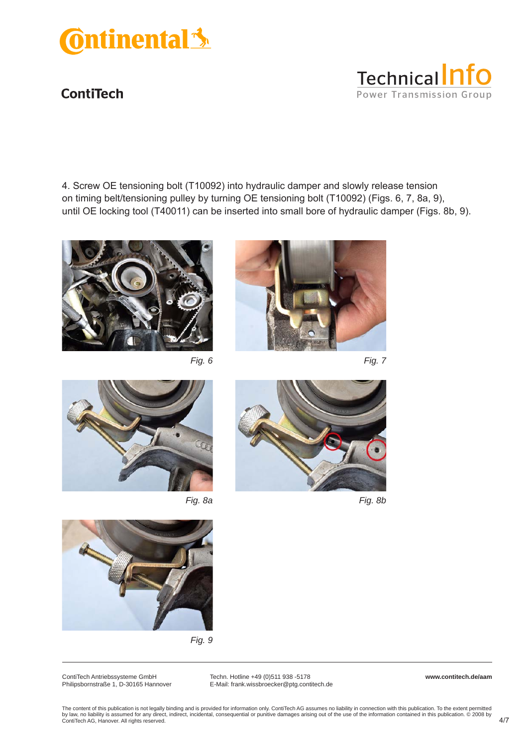





*Fig. 6 Fig. 7*



**Technical nfo** 

**Power Transmission Group** 









*Fig. 9*

ContiTech Antriebssysteme GmbH Philipsbornstraße 1, D-30165 Hannover

Techn. Hotline +49 (0)511 938 -5178 E-Mail: frank.wissbroecker@ptg.contitech.de **www.contitech.de/aam**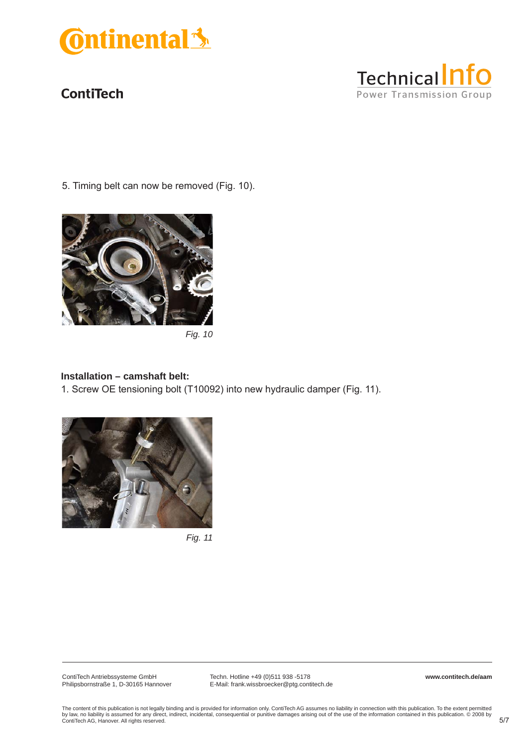



5. Timing belt can now be removed (Fig. 10).



*Fig. 10*

#### **Installation – camshaft belt:**

1. Screw OE tensioning bolt (T10092) into new hydraulic damper (Fig. 11).



*Fig. 11*

ContiTech Antriebssysteme GmbH Philipsbornstraße 1, D-30165 Hannover

Techn. Hotline +49 (0)511 938 -5178 E-Mail: frank.wissbroecker@ptg.contitech.de **www.contitech.de/aam**

The content of this publication is not legally binding and is provided for information only. ContiTech AG assumes no liability in connection with this publication. To the extent permitted<br>by law, no liability is assumed f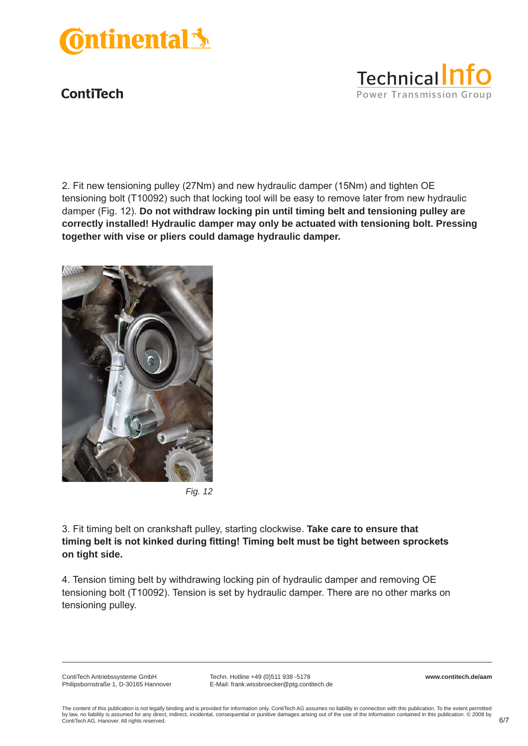



2. Fit new tensioning pulley (27Nm) and new hydraulic damper (15Nm) and tighten OE tensioning bolt (T10092) such that locking tool will be easy to remove later from new hydraulic damper (Fig. 12). **Do not withdraw locking pin until timing belt and tensioning pulley are correctly installed! Hydraulic damper may only be actuated with tensioning bolt. Pressing together with vise or pliers could damage hydraulic damper.** 



*Fig. 12*

3. Fit timing belt on crankshaft pulley, starting clockwise. **Take care to ensure that timing belt is not kinked during fitting! Timing belt must be tight between sprockets on tight side.** 

4. Tension timing belt by withdrawing locking pin of hydraulic damper and removing OE tensioning bolt (T10092). Tension is set by hydraulic damper. There are no other marks on tensioning pulley.

ContiTech Antriebssysteme GmbH Philipsbornstraße 1, D-30165 Hannover

Techn. Hotline +49 (0)511 938 -5178 E-Mail: frank.wissbroecker@ptg.contitech.de **www.contitech.de/aam**